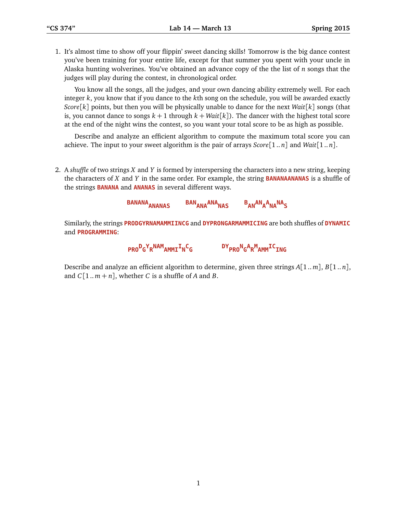1. It's almost time to show off your flippin' sweet dancing skills! Tomorrow is the big dance contest you've been training for your entire life, except for that summer you spent with your uncle in Alaska hunting wolverines. You've obtained an advance copy of the the list of *n* songs that the judges will play during the contest, in chronological order.

You know all the songs, all the judges, and your own dancing ability extremely well. For each integer *k*, you know that if you dance to the *k*th song on the schedule, you will be awarded exactly *Score*[*k*] points, but then you will be physically unable to dance for the next *Wait*[*k*] songs (that is, you cannot dance to songs  $k+1$  through  $k+Wait[k])$ . The dancer with the highest total score at the end of the night wins the contest, so you want your total score to be as high as possible.

Describe and analyze an efficient algorithm to compute the maximum total score you can achieve. The input to your sweet algorithm is the pair of arrays *Score*[1 .. *n*] and *Wait*[1 .. *n*].

2. A *shuffle* of two strings *X* and *Y* is formed by interspersing the characters into a new string, keeping the characters of *X* and *Y* in the same order. For example, the string **BANANAANANAS** is a shuffle of the strings **BANANA** and **ANANAS** in several different ways.

> **BANANAANANAS BANANAANANAS <sup>B</sup> ANANA A NANAS**

Similarly, the strings **PRODGYRNAMAMMIINCG** and **DYPRONGARMAMMICING** are both shuffles of **DYNAMIC** and **PROGRAMMING**:

**PRO<sup>D</sup> G Y R NAMAMMII N C G**

 $\mathsf{D}\mathsf{Y}_{\mathsf{PRO}}\mathsf{N}_{\mathsf{G}}\mathsf{A}_{\mathsf{R}}\mathsf{M}_{\mathsf{AMM}}\mathsf{IC}_{\mathsf{ING}}$ 

Describe and analyze an efficient algorithm to determine, given three strings *A*[1.. *m*], *B*[1.. *n*], and  $C[1..m+n]$ , whether *C* is a shuffle of *A* and *B*.